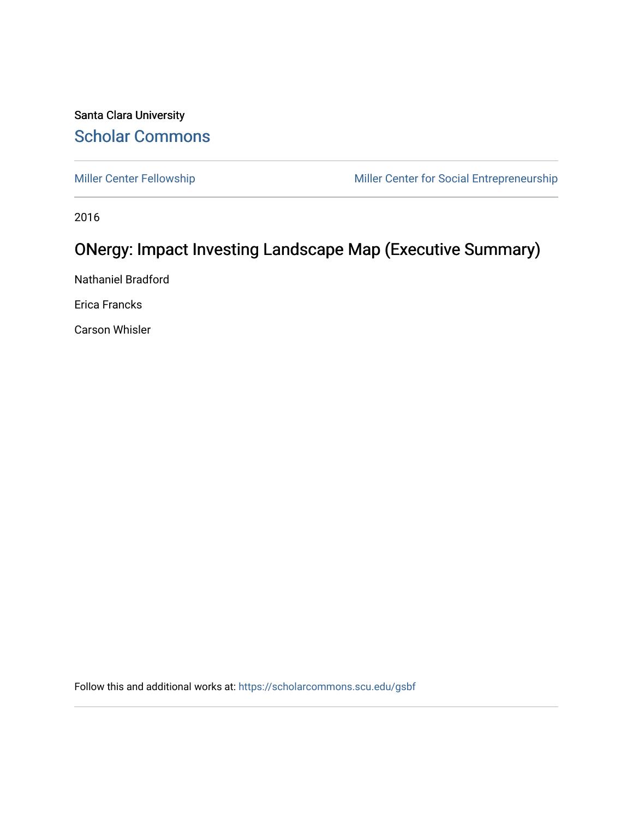## Santa Clara University [Scholar Commons](https://scholarcommons.scu.edu/)

[Miller Center Fellowship](https://scholarcommons.scu.edu/gsbf) Miller Center for Social Entrepreneurship

2016

## ONergy: Impact Investing Landscape Map (Executive Summary)

Nathaniel Bradford

Erica Francks

Carson Whisler

Follow this and additional works at: [https://scholarcommons.scu.edu/gsbf](https://scholarcommons.scu.edu/gsbf?utm_source=scholarcommons.scu.edu%2Fgsbf%2F70&utm_medium=PDF&utm_campaign=PDFCoverPages)